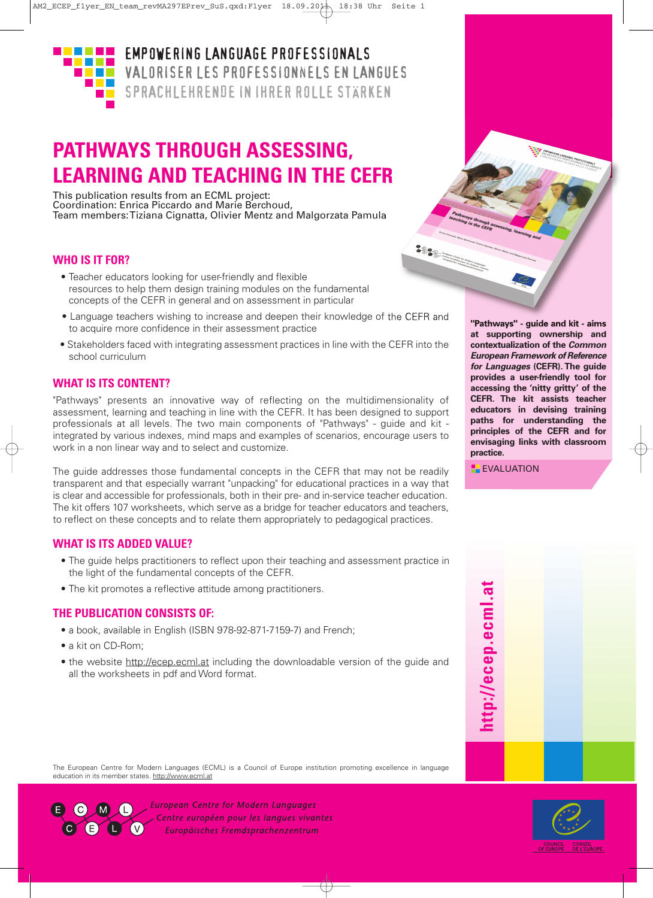

**EMPOWERING LANGUAGE PROFESSIONALS** VALORISER LES PROFESSIONNELS EN LANGUES SPRACHLEHRENDE IN IHRER ROLLE STÄRKEN

# **PATHWAYS THROUGH ASSESSING, LEARNING AND TEACHING IN THE CEFR**

This publication results from an ECML project: Coordination: Enrica Piccardo and Marie Berchoud, Team members:Tiziana Cignatta, Olivier Mentz and Malgorzata Pamula

### **WHO IS IT FOR?**

- Teacher educators looking for user-friendly and flexible resources to help them design training modules on the fundamental concepts of the CEFR in general and on assessment in particular
- Language teachers wishing to increase and deepen their knowledge of the CEFR and to acquire more confidence in their assessment practice
- Stakeholders faced with integrating assessment practices in line with the CEFR into the school curriculum

## **WHAT IS ITS CONTENT?**

"Pathways" presents an innovative way of reflecting on the multidimensionality of assessment, learning and teaching in line with the CEFR. It has been designed to support professionals at all levels. The two main components of "Pathways" - guide and kit integrated by various indexes, mind maps and examples of scenarios, encourage users to work in a non linear way and to select and customize.

The guide addresses those fundamental concepts in the CEFR that may not be readily transparent and that especially warrant "unpacking" for educational practices in a way that is clear and accessible for professionals, both in their pre- and in-service teacher education. The kit offers 107 worksheets, which serve as a bridge for teacher educators and teachers, to reflect on these concepts and to relate them appropriately to pedagogical practices.

### **WHAT IS ITS ADDED VALUE?**

- The guide helps practitioners to reflect upon their teaching and assessment practice in the light of the fundamental concepts of the CEFR.
- The kit promotes a reflective attitude among practitioners.

### **THE PUBLICATION CONSISTS OF:**

- a book, available in English (ISBN 978-92-871-7159-7) and French;
- a kit on CD-Rom:
- the website http://ecep.ecml.at including the downloadable version of the guide and all the worksheets in pdf and Word format.

**"Pathways" - guide and kit - aims at supporting ownership and contextualization of the** *Common European Framework of Reference for Languages* **(CEFR). The guide provides a user-friendly tool for accessing the 'nitty gritty' of the CEFR. The kit assists teacher educators in devising training paths for understanding the principles of the CEFR and for envisaging links with classroom practice.**

**EXALUATION** 

 $882 - 40$ 



The European Centre for Modern Languages (ECML) is a Council of Europe institution promoting excellence in language education in its member states. http://www.ecml.at



**European Centre for Modern Languages** Centre européen pour les langues vivantes Europäisches Fremdsprachenzentrum